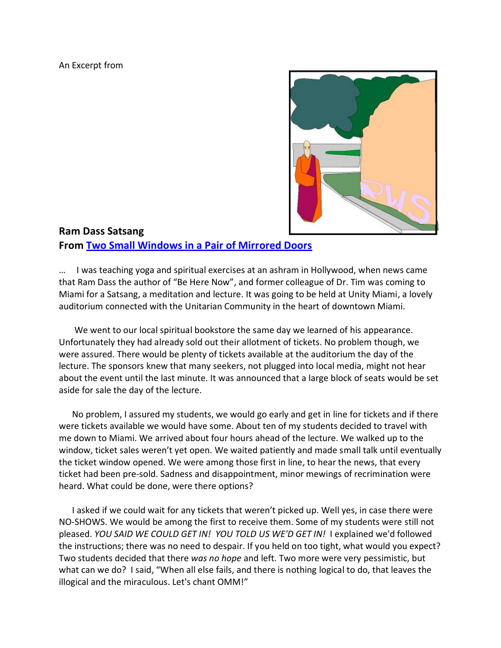An Excerpt from



## **Ram Dass Satsang From [Two Small Windows in a Pair of Mirrored Doors](http://www.twosmallwindows.com/)**

… I was teaching yoga and spiritual exercises at an ashram in Hollywood, when news came that Ram Dass the author of "Be Here Now", and former colleague of Dr. Tim was coming to Miami for a Satsang, a meditation and lecture. It was going to be held at Unity Miami, a lovely auditorium connected with the Unitarian Community in the heart of downtown Miami.

 We went to our local spiritual bookstore the same day we learned of his appearance. Unfortunately they had already sold out their allotment of tickets. No problem though, we were assured. There would be plenty of tickets available at the auditorium the day of the lecture. The sponsors knew that many seekers, not plugged into local media, might not hear about the event until the last minute. It was announced that a large block of seats would be set aside for sale the day of the lecture.

 No problem, I assured my students, we would go early and get in line for tickets and if there were tickets available we would have some. About ten of my students decided to travel with me down to Miami. We arrived about four hours ahead of the lecture. We walked up to the window, ticket sales weren't yet open. We waited patiently and made small talk until eventually the ticket window opened. We were among those first in line, to hear the news, that every ticket had been pre-sold. Sadness and disappointment, minor mewings of recrimination were heard. What could be done, were there options?

 I asked if we could wait for any tickets that weren't picked up. Well yes, in case there were NO-SHOWS. We would be among the first to receive them. Some of my students were still not pleased. *YOU SAID WE COULD GET IN! YOU TOLD US WE'D GET IN!* I explained we'd followed the instructions; there was no need to despair. If you held on too tight, what would you expect? Two students decided that there *was no hope* and left. Two more were very pessimistic, but what can we do? I said, "When all else fails, and there is nothing logical to do, that leaves the illogical and the miraculous. Let's chant OMM!"